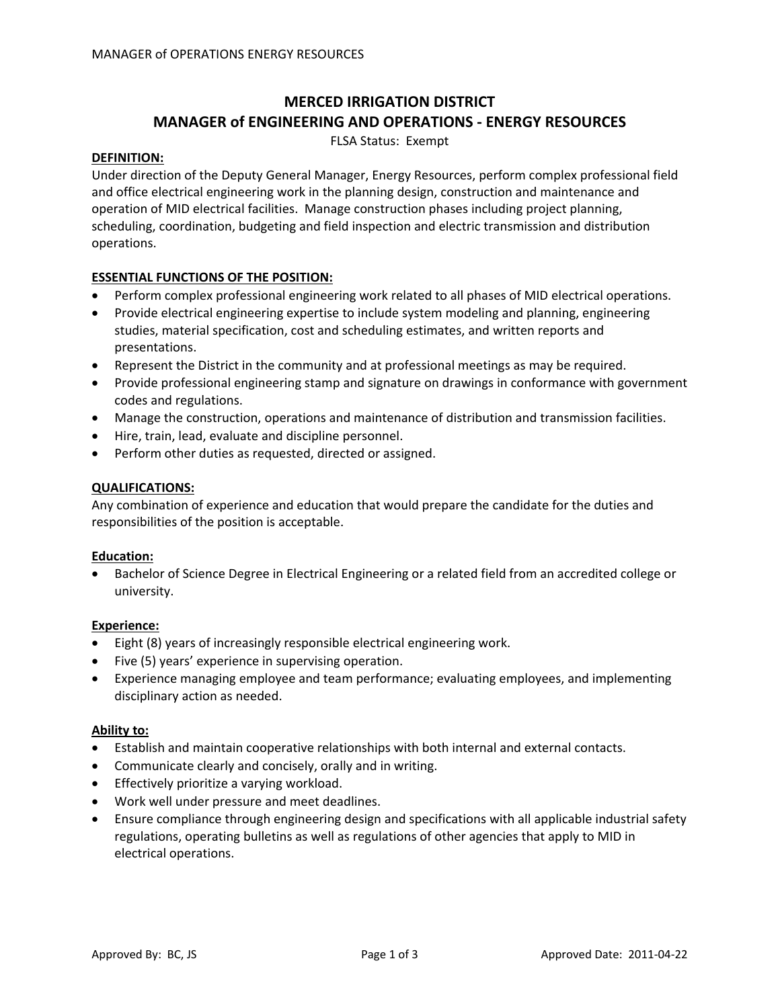# **MERCED IRRIGATION DISTRICT MANAGER of ENGINEERING AND OPERATIONS ‐ ENERGY RESOURCES**

FLSA Status: Exempt

#### **DEFINITION:**

Under direction of the Deputy General Manager, Energy Resources, perform complex professional field and office electrical engineering work in the planning design, construction and maintenance and operation of MID electrical facilities. Manage construction phases including project planning, scheduling, coordination, budgeting and field inspection and electric transmission and distribution operations.

### **ESSENTIAL FUNCTIONS OF THE POSITION:**

- Perform complex professional engineering work related to all phases of MID electrical operations.
- Provide electrical engineering expertise to include system modeling and planning, engineering studies, material specification, cost and scheduling estimates, and written reports and presentations.
- Represent the District in the community and at professional meetings as may be required.
- Provide professional engineering stamp and signature on drawings in conformance with government codes and regulations.
- Manage the construction, operations and maintenance of distribution and transmission facilities.
- Hire, train, lead, evaluate and discipline personnel.
- Perform other duties as requested, directed or assigned.

#### **QUALIFICATIONS:**

Any combination of experience and education that would prepare the candidate for the duties and responsibilities of the position is acceptable.

#### **Education:**

• Bachelor of Science Degree in Electrical Engineering or a related field from an accredited college or university.

#### **Experience:**

- Eight (8) years of increasingly responsible electrical engineering work.
- Five (5) years' experience in supervising operation.
- Experience managing employee and team performance; evaluating employees, and implementing disciplinary action as needed.

#### **Ability to:**

- Establish and maintain cooperative relationships with both internal and external contacts.
- Communicate clearly and concisely, orally and in writing.
- Effectively prioritize a varying workload.
- Work well under pressure and meet deadlines.
- Ensure compliance through engineering design and specifications with all applicable industrial safety regulations, operating bulletins as well as regulations of other agencies that apply to MID in electrical operations.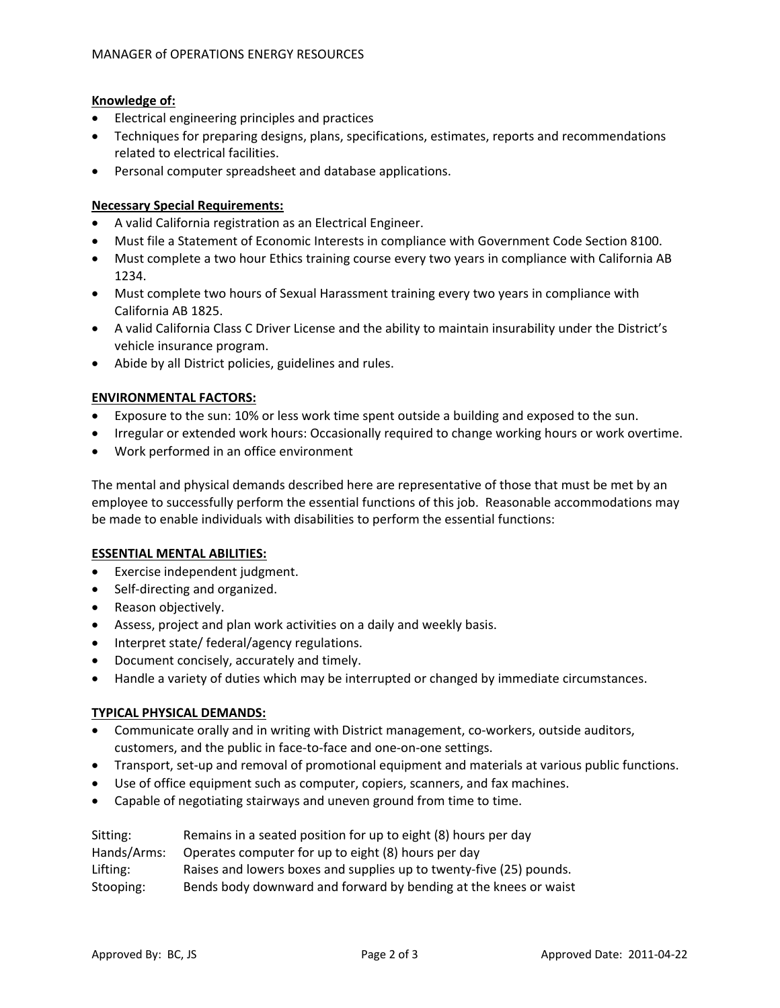### **Knowledge of:**

- Electrical engineering principles and practices
- Techniques for preparing designs, plans, specifications, estimates, reports and recommendations related to electrical facilities.
- Personal computer spreadsheet and database applications.

### **Necessary Special Requirements:**

- A valid California registration as an Electrical Engineer.
- Must file a Statement of Economic Interests in compliance with Government Code Section 8100.
- Must complete a two hour Ethics training course every two years in compliance with California AB 1234.
- Must complete two hours of Sexual Harassment training every two years in compliance with California AB 1825.
- A valid California Class C Driver License and the ability to maintain insurability under the District's vehicle insurance program.
- Abide by all District policies, guidelines and rules.

### **ENVIRONMENTAL FACTORS:**

- Exposure to the sun: 10% or less work time spent outside a building and exposed to the sun.
- Irregular or extended work hours: Occasionally required to change working hours or work overtime.
- Work performed in an office environment

The mental and physical demands described here are representative of those that must be met by an employee to successfully perform the essential functions of this job. Reasonable accommodations may be made to enable individuals with disabilities to perform the essential functions:

### **ESSENTIAL MENTAL ABILITIES:**

- Exercise independent judgment.
- Self-directing and organized.
- Reason objectively.
- Assess, project and plan work activities on a daily and weekly basis.
- Interpret state/ federal/agency regulations.
- Document concisely, accurately and timely.
- Handle a variety of duties which may be interrupted or changed by immediate circumstances.

## **TYPICAL PHYSICAL DEMANDS:**

- Communicate orally and in writing with District management, co-workers, outside auditors, customers, and the public in face‐to‐face and one‐on‐one settings.
- Transport, set-up and removal of promotional equipment and materials at various public functions.
- Use of office equipment such as computer, copiers, scanners, and fax machines.
- Capable of negotiating stairways and uneven ground from time to time.

| Sitting:    | Remains in a seated position for up to eight (8) hours per day      |
|-------------|---------------------------------------------------------------------|
| Hands/Arms: | Operates computer for up to eight (8) hours per day                 |
| Lifting:    | Raises and lowers boxes and supplies up to twenty-five (25) pounds. |
| Stooping:   | Bends body downward and forward by bending at the knees or waist    |